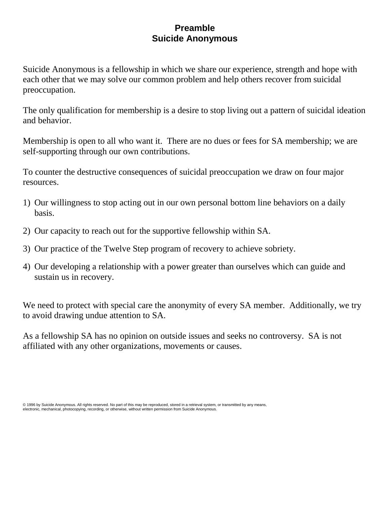#### **Preamble Suicide Anonymous**

Suicide Anonymous is a fellowship in which we share our experience, strength and hope with each other that we may solve our common problem and help others recover from suicidal preoccupation.

The only qualification for membership is a desire to stop living out a pattern of suicidal ideation and behavior.

Membership is open to all who want it. There are no dues or fees for SA membership; we are self-supporting through our own contributions.

To counter the destructive consequences of suicidal preoccupation we draw on four major resources.

- 1) Our willingness to stop acting out in our own personal bottom line behaviors on a daily basis.
- 2) Our capacity to reach out for the supportive fellowship within SA.
- 3) Our practice of the Twelve Step program of recovery to achieve sobriety.
- 4) Our developing a relationship with a power greater than ourselves which can guide and sustain us in recovery.

We need to protect with special care the anonymity of every SA member. Additionally, we try to avoid drawing undue attention to SA.

As a fellowship SA has no opinion on outside issues and seeks no controversy. SA is not affiliated with any other organizations, movements or causes.

© 1996 by Suicide Anonymous. All rights reserved. No part of this may be reproduced, stored in a retrieval system, or transmitted by any means, electronic, mechanical, photocopying, recording, or otherwise, without written permission from Suicide Anonymous.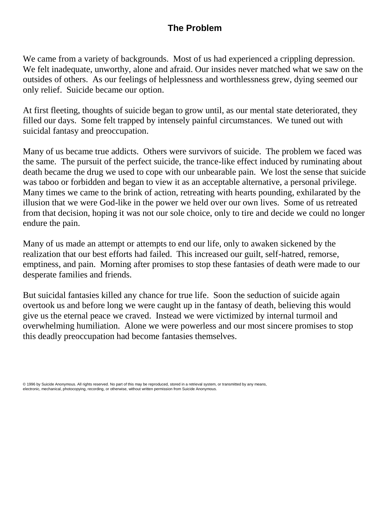## **The Problem**

We came from a variety of backgrounds. Most of us had experienced a crippling depression. We felt inadequate, unworthy, alone and afraid. Our insides never matched what we saw on the outsides of others. As our feelings of helplessness and worthlessness grew, dying seemed our only relief. Suicide became our option.

At first fleeting, thoughts of suicide began to grow until, as our mental state deteriorated, they filled our days. Some felt trapped by intensely painful circumstances. We tuned out with suicidal fantasy and preoccupation.

Many of us became true addicts. Others were survivors of suicide. The problem we faced was the same. The pursuit of the perfect suicide, the trance-like effect induced by ruminating about death became the drug we used to cope with our unbearable pain. We lost the sense that suicide was taboo or forbidden and began to view it as an acceptable alternative, a personal privilege. Many times we came to the brink of action, retreating with hearts pounding, exhilarated by the illusion that we were God-like in the power we held over our own lives. Some of us retreated from that decision, hoping it was not our sole choice, only to tire and decide we could no longer endure the pain.

Many of us made an attempt or attempts to end our life, only to awaken sickened by the realization that our best efforts had failed. This increased our guilt, self-hatred, remorse, emptiness, and pain. Morning after promises to stop these fantasies of death were made to our desperate families and friends.

But suicidal fantasies killed any chance for true life. Soon the seduction of suicide again overtook us and before long we were caught up in the fantasy of death, believing this would give us the eternal peace we craved. Instead we were victimized by internal turmoil and overwhelming humiliation. Alone we were powerless and our most sincere promises to stop this deadly preoccupation had become fantasies themselves.

<sup>© 1996</sup> by Suicide Anonymous. All rights reserved. No part of this may be reproduced, stored in a retrieval system, or transmitted by any means,<br>electronic, mechanical, photocopying, recording, or otherwise, without written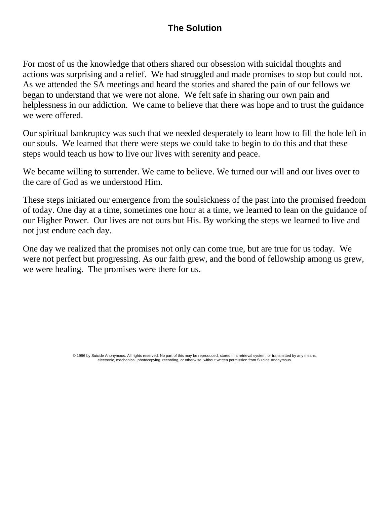# **The Solution**

For most of us the knowledge that others shared our obsession with suicidal thoughts and actions was surprising and a relief. We had struggled and made promises to stop but could not. As we attended the SA meetings and heard the stories and shared the pain of our fellows we began to understand that we were not alone. We felt safe in sharing our own pain and helplessness in our addiction. We came to believe that there was hope and to trust the guidance we were offered.

Our spiritual bankruptcy was such that we needed desperately to learn how to fill the hole left in our souls. We learned that there were steps we could take to begin to do this and that these steps would teach us how to live our lives with serenity and peace.

We became willing to surrender. We came to believe. We turned our will and our lives over to the care of God as we understood Him.

These steps initiated our emergence from the soulsickness of the past into the promised freedom of today. One day at a time, sometimes one hour at a time, we learned to lean on the guidance of our Higher Power. Our lives are not ours but His. By working the steps we learned to live and not just endure each day.

One day we realized that the promises not only can come true, but are true for us today. We were not perfect but progressing. As our faith grew, and the bond of fellowship among us grew, we were healing. The promises were there for us.

> © 1996 by Suicide Anonymous. All rights reserved. No part of this may be reproduced, stored in a retrieval system, or transmitted by any means, electronic, mechanical, photocopying, recording, or otherwise, without written permission from Suicide Anonymous.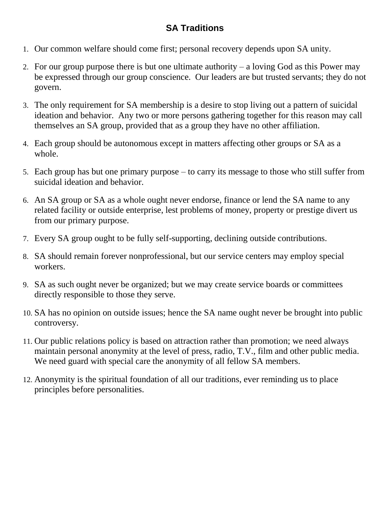## **SA Traditions**

- 1. Our common welfare should come first; personal recovery depends upon SA unity.
- 2. For our group purpose there is but one ultimate authority a loving God as this Power may be expressed through our group conscience. Our leaders are but trusted servants; they do not govern.
- 3. The only requirement for SA membership is a desire to stop living out a pattern of suicidal ideation and behavior. Any two or more persons gathering together for this reason may call themselves an SA group, provided that as a group they have no other affiliation.
- 4. Each group should be autonomous except in matters affecting other groups or SA as a whole.
- 5. Each group has but one primary purpose to carry its message to those who still suffer from suicidal ideation and behavior.
- 6. An SA group or SA as a whole ought never endorse, finance or lend the SA name to any related facility or outside enterprise, lest problems of money, property or prestige divert us from our primary purpose.
- 7. Every SA group ought to be fully self-supporting, declining outside contributions.
- 8. SA should remain forever nonprofessional, but our service centers may employ special workers.
- 9. SA as such ought never be organized; but we may create service boards or committees directly responsible to those they serve.
- 10. SA has no opinion on outside issues; hence the SA name ought never be brought into public controversy.
- 11. Our public relations policy is based on attraction rather than promotion; we need always maintain personal anonymity at the level of press, radio, T.V., film and other public media. We need guard with special care the anonymity of all fellow SA members.
- 12. Anonymity is the spiritual foundation of all our traditions, ever reminding us to place principles before personalities.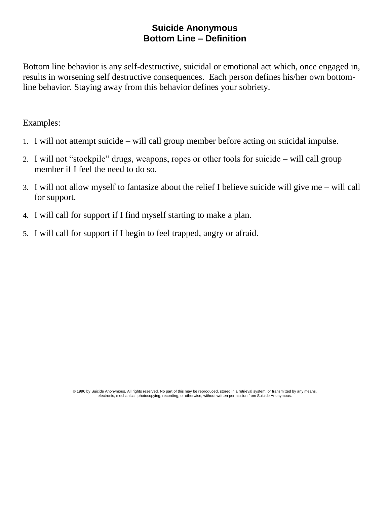#### **Suicide Anonymous Bottom Line – Definition**

Bottom line behavior is any self-destructive, suicidal or emotional act which, once engaged in, results in worsening self destructive consequences. Each person defines his/her own bottomline behavior. Staying away from this behavior defines your sobriety.

Examples:

- 1. I will not attempt suicide will call group member before acting on suicidal impulse.
- 2. I will not "stockpile" drugs, weapons, ropes or other tools for suicide will call group member if I feel the need to do so.
- 3. I will not allow myself to fantasize about the relief I believe suicide will give me will call for support.
- 4. I will call for support if I find myself starting to make a plan.
- 5. I will call for support if I begin to feel trapped, angry or afraid.

© 1996 by Suicide Anonymous. All rights reserved. No part of this may be reproduced, stored in a retrieval system, or transmitted by any means,<br>electronic, mechanical, photocopying, recording, or otherwise, without written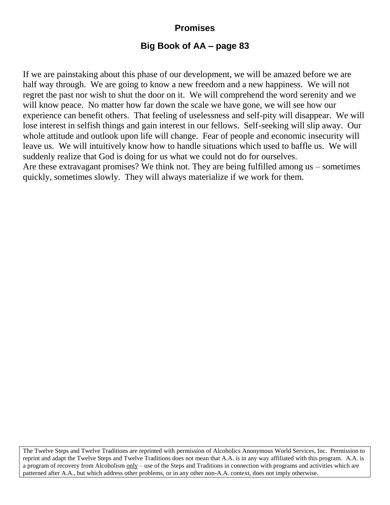## **Promises**

#### **Big Book of AA – page 83**

If we are painstaking about this phase of our development, we will be amazed before we are half way through. We are going to know a new freedom and a new happiness. We will not regret the past nor wish to shut the door on it. We will comprehend the word serenity and we will know peace. No matter how far down the scale we have gone, we will see how our experience can benefit others. That feeling of uselessness and self-pity will disappear. We will lose interest in selfish things and gain interest in our fellows. Self-seeking will slip away. Our whole attitude and outlook upon life will change. Fear of people and economic insecurity will leave us. We will intuitively know how to handle situations which used to baffle us. We will suddenly realize that God is doing for us what we could not do for ourselves. Are these extravagant promises? We think not. They are being fulfilled among us – sometimes

quickly, sometimes slowly. They will always materialize if we work for them.

The Twelve Steps and Twelve Traditions are reprinted with permission of Alcoholics Anonymous World Services, Inc. Permission to reprint and adapt the Twelve Steps and Twelve Traditions does not mean that A.A. is in any way affiliated with this program. A.A. is a program of recovery from Alcoholism  $\frac{only}{}$  – use of the Steps and Traditions in connection with programs and activities which are patterned after A.A., but which address other problems, or in any other non-A.A. context, does not imply otherwise.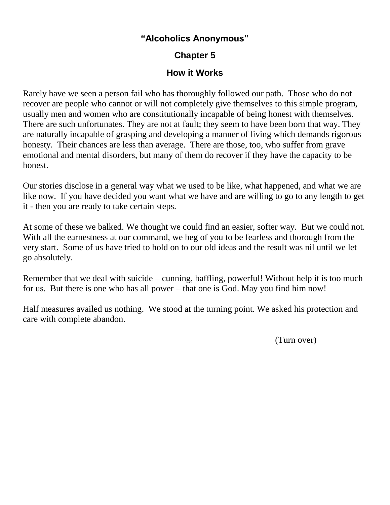#### **"Alcoholics Anonymous"**

# **Chapter 5**

### **How it Works**

Rarely have we seen a person fail who has thoroughly followed our path. Those who do not recover are people who cannot or will not completely give themselves to this simple program, usually men and women who are constitutionally incapable of being honest with themselves. There are such unfortunates. They are not at fault; they seem to have been born that way. They are naturally incapable of grasping and developing a manner of living which demands rigorous honesty. Their chances are less than average. There are those, too, who suffer from grave emotional and mental disorders, but many of them do recover if they have the capacity to be honest.

Our stories disclose in a general way what we used to be like, what happened, and what we are like now. If you have decided you want what we have and are willing to go to any length to get it - then you are ready to take certain steps.

At some of these we balked. We thought we could find an easier, softer way. But we could not. With all the earnestness at our command, we beg of you to be fearless and thorough from the very start. Some of us have tried to hold on to our old ideas and the result was nil until we let go absolutely.

Remember that we deal with suicide – cunning, baffling, powerful! Without help it is too much for us. But there is one who has all power – that one is God. May you find him now!

Half measures availed us nothing. We stood at the turning point. We asked his protection and care with complete abandon.

(Turn over)